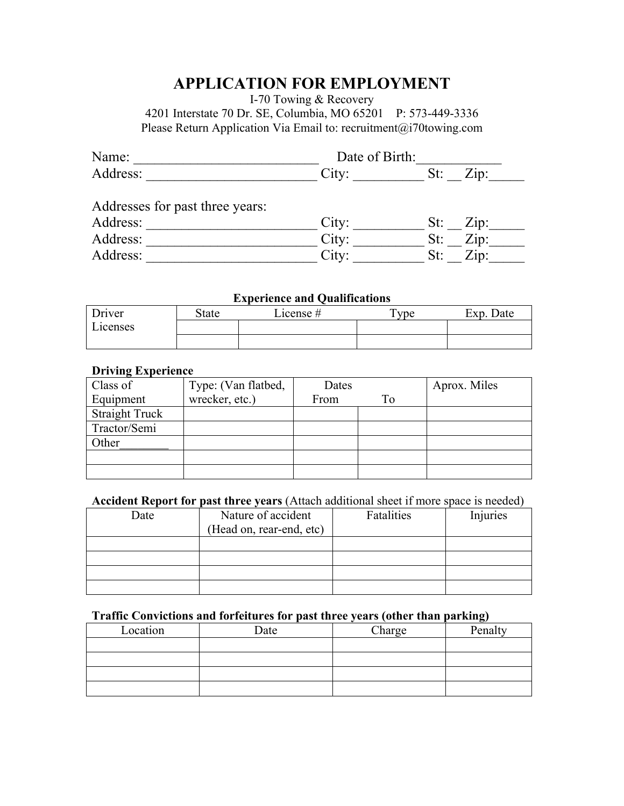# **APPLICATION FOR EMPLOYMENT**

I-70 Towing & Recovery

4201 Interstate 70 Dr. SE, Columbia, MO 65201 P: 573-449-3336 Please Return Application Via Email to: recruitment@i70towing.com

| Name:                           | Date of Birth: |     |                         |
|---------------------------------|----------------|-----|-------------------------|
| Address:                        | City:          | St: | $\overline{L}$ ip:      |
| Addresses for past three years: |                |     |                         |
| Address:                        | City:          |     | $St: \quad \text{Zip:}$ |
| Address:                        | City:          | St: | Zip:                    |
| Address:                        | City:          | St: | Zip:                    |

## **Experience and Qualifications**

| Driver   | State | License # | Tvpe | Exp.<br>Date |
|----------|-------|-----------|------|--------------|
| Licenses |       |           |      |              |
|          |       |           |      |              |

### **Driving Experience**

| Class of              | Type: (Van flatbed, | Dates |    | Aprox. Miles |
|-----------------------|---------------------|-------|----|--------------|
| Equipment             | wrecker, etc.)      | From  | To |              |
| <b>Straight Truck</b> |                     |       |    |              |
| Tractor/Semi          |                     |       |    |              |
| Other                 |                     |       |    |              |
|                       |                     |       |    |              |
|                       |                     |       |    |              |

#### **Accident Report for past three years** (Attach additional sheet if more space is needed)

| Date | Nature of accident       | Fatalities | Injuries |
|------|--------------------------|------------|----------|
|      | (Head on, rear-end, etc) |            |          |
|      |                          |            |          |
|      |                          |            |          |
|      |                          |            |          |
|      |                          |            |          |

#### **Traffic Convictions and forfeitures for past three years (other than parking)**

| Location | Date | Charge | Penalty |
|----------|------|--------|---------|
|          |      |        |         |
|          |      |        |         |
|          |      |        |         |
|          |      |        |         |